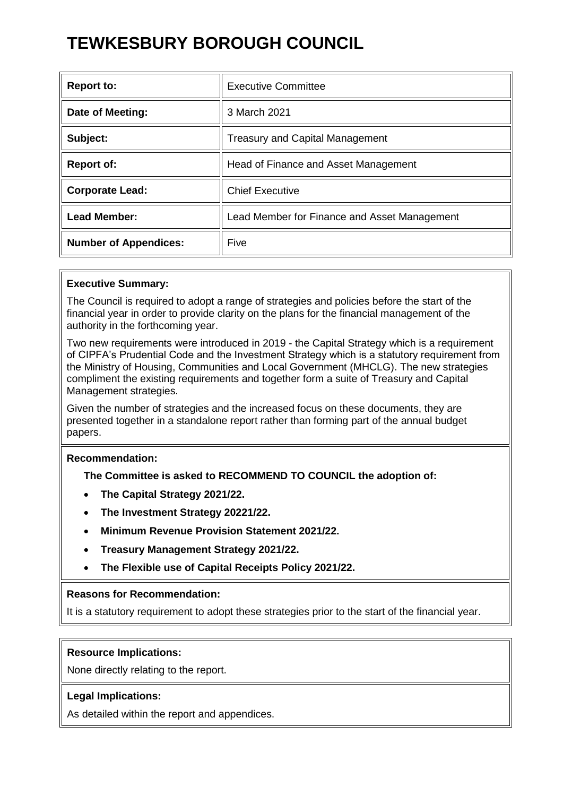# **TEWKESBURY BOROUGH COUNCIL**

| <b>Report to:</b>            | <b>Executive Committee</b>                   |
|------------------------------|----------------------------------------------|
| Date of Meeting:             | 3 March 2021                                 |
| Subject:                     | <b>Treasury and Capital Management</b>       |
| <b>Report of:</b>            | Head of Finance and Asset Management         |
| <b>Corporate Lead:</b>       | <b>Chief Executive</b>                       |
| <b>Lead Member:</b>          | Lead Member for Finance and Asset Management |
| <b>Number of Appendices:</b> | Five                                         |

### **Executive Summary:**

The Council is required to adopt a range of strategies and policies before the start of the financial year in order to provide clarity on the plans for the financial management of the authority in the forthcoming year.

Two new requirements were introduced in 2019 - the Capital Strategy which is a requirement of CIPFA's Prudential Code and the Investment Strategy which is a statutory requirement from the Ministry of Housing, Communities and Local Government (MHCLG). The new strategies compliment the existing requirements and together form a suite of Treasury and Capital Management strategies.

Given the number of strategies and the increased focus on these documents, they are presented together in a standalone report rather than forming part of the annual budget papers.

### **Recommendation:**

**The Committee is asked to RECOMMEND TO COUNCIL the adoption of:**

- **The Capital Strategy 2021/22.**
- **The Investment Strategy 20221/22.**
- **Minimum Revenue Provision Statement 2021/22.**
- **Treasury Management Strategy 2021/22.**
- **The Flexible use of Capital Receipts Policy 2021/22.**

#### **Reasons for Recommendation:**

It is a statutory requirement to adopt these strategies prior to the start of the financial year.

#### **Resource Implications:**

None directly relating to the report.

#### **Legal Implications:**

As detailed within the report and appendices.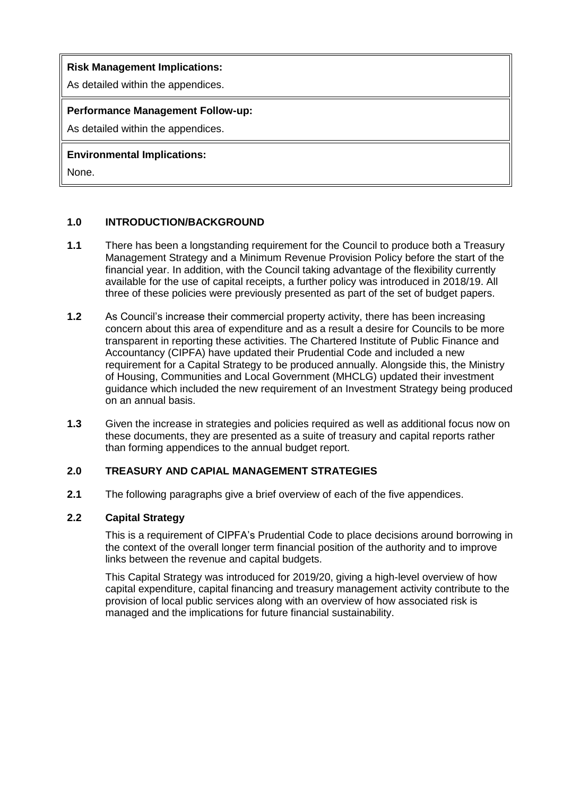## **Risk Management Implications:**

As detailed within the appendices.

## **Performance Management Follow-up:**

As detailed within the appendices.

# **Environmental Implications:**

None.

# **1.0 INTRODUCTION/BACKGROUND**

- **1.1** There has been a longstanding requirement for the Council to produce both a Treasury Management Strategy and a Minimum Revenue Provision Policy before the start of the financial year. In addition, with the Council taking advantage of the flexibility currently available for the use of capital receipts, a further policy was introduced in 2018/19. All three of these policies were previously presented as part of the set of budget papers.
- **1.2** As Council's increase their commercial property activity, there has been increasing concern about this area of expenditure and as a result a desire for Councils to be more transparent in reporting these activities. The Chartered Institute of Public Finance and Accountancy (CIPFA) have updated their Prudential Code and included a new requirement for a Capital Strategy to be produced annually. Alongside this, the Ministry of Housing, Communities and Local Government (MHCLG) updated their investment guidance which included the new requirement of an Investment Strategy being produced on an annual basis.
- **1.3** Given the increase in strategies and policies required as well as additional focus now on these documents, they are presented as a suite of treasury and capital reports rather than forming appendices to the annual budget report.

### **2.0 TREASURY AND CAPIAL MANAGEMENT STRATEGIES**

**2.1** The following paragraphs give a brief overview of each of the five appendices.

### **2.2 Capital Strategy**

This is a requirement of CIPFA's Prudential Code to place decisions around borrowing in the context of the overall longer term financial position of the authority and to improve links between the revenue and capital budgets.

This Capital Strategy was introduced for 2019/20, giving a high-level overview of how capital expenditure, capital financing and treasury management activity contribute to the provision of local public services along with an overview of how associated risk is managed and the implications for future financial sustainability.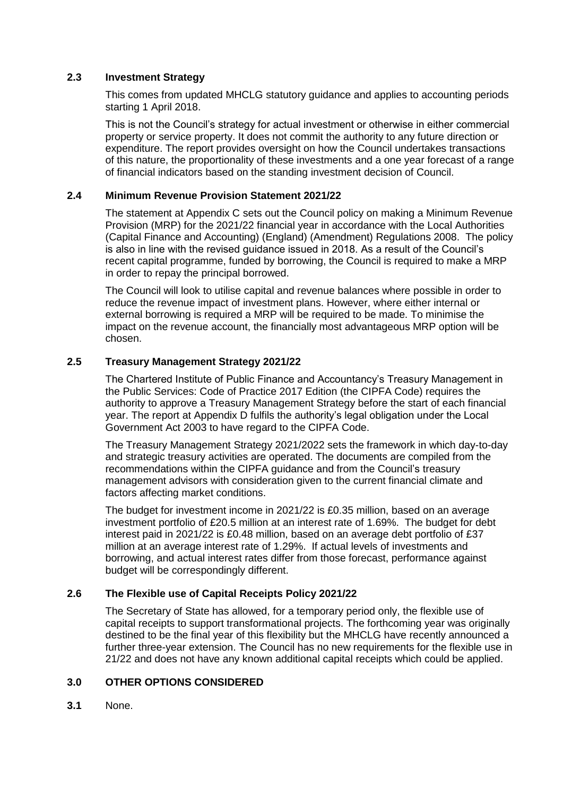#### **2.3 Investment Strategy**

This comes from updated MHCLG statutory guidance and applies to accounting periods starting 1 April 2018.

This is not the Council's strategy for actual investment or otherwise in either commercial property or service property. It does not commit the authority to any future direction or expenditure. The report provides oversight on how the Council undertakes transactions of this nature, the proportionality of these investments and a one year forecast of a range of financial indicators based on the standing investment decision of Council.

#### **2.4 Minimum Revenue Provision Statement 2021/22**

The statement at Appendix C sets out the Council policy on making a Minimum Revenue Provision (MRP) for the 2021/22 financial year in accordance with the Local Authorities (Capital Finance and Accounting) (England) (Amendment) Regulations 2008. The policy is also in line with the revised guidance issued in 2018. As a result of the Council's recent capital programme, funded by borrowing, the Council is required to make a MRP in order to repay the principal borrowed.

The Council will look to utilise capital and revenue balances where possible in order to reduce the revenue impact of investment plans. However, where either internal or external borrowing is required a MRP will be required to be made. To minimise the impact on the revenue account, the financially most advantageous MRP option will be chosen.

#### **2.5 Treasury Management Strategy 2021/22**

The Chartered Institute of Public Finance and Accountancy's Treasury Management in the Public Services: Code of Practice 2017 Edition (the CIPFA Code) requires the authority to approve a Treasury Management Strategy before the start of each financial year. The report at Appendix D fulfils the authority's legal obligation under the Local Government Act 2003 to have regard to the CIPFA Code.

The Treasury Management Strategy 2021/2022 sets the framework in which day-to-day and strategic treasury activities are operated. The documents are compiled from the recommendations within the CIPFA guidance and from the Council's treasury management advisors with consideration given to the current financial climate and factors affecting market conditions.

The budget for investment income in 2021/22 is £0.35 million, based on an average investment portfolio of £20.5 million at an interest rate of 1.69%. The budget for debt interest paid in 2021/22 is £0.48 million, based on an average debt portfolio of £37 million at an average interest rate of 1.29%. If actual levels of investments and borrowing, and actual interest rates differ from those forecast, performance against budget will be correspondingly different.

### **2.6 The Flexible use of Capital Receipts Policy 2021/22**

The Secretary of State has allowed, for a temporary period only, the flexible use of capital receipts to support transformational projects. The forthcoming year was originally destined to be the final year of this flexibility but the MHCLG have recently announced a further three-year extension. The Council has no new requirements for the flexible use in 21/22 and does not have any known additional capital receipts which could be applied.

### **3.0 OTHER OPTIONS CONSIDERED**

**3.1** None.